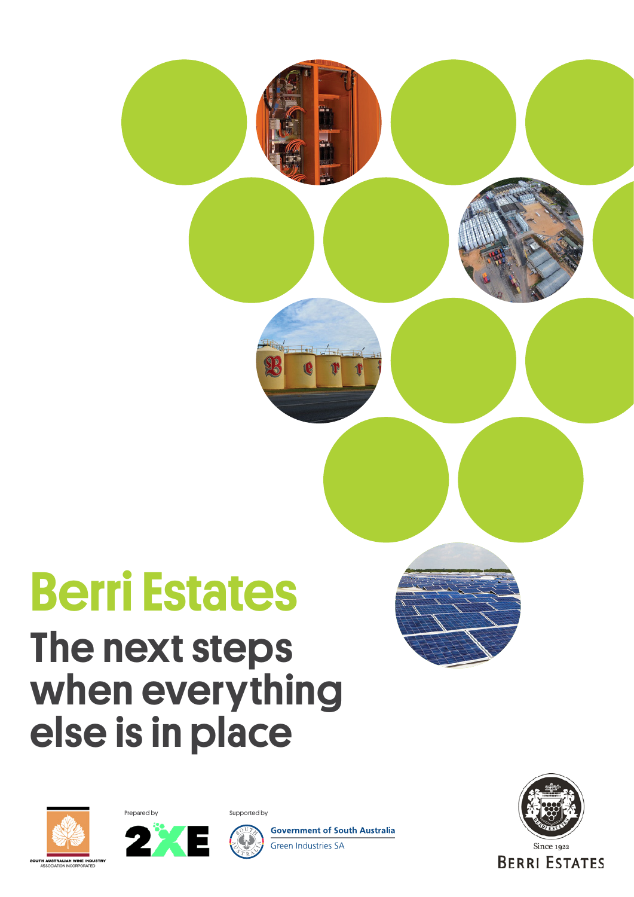## Berri Estates

### The next steps when everything else is in place







**Government of South Australia** Green Industries SA





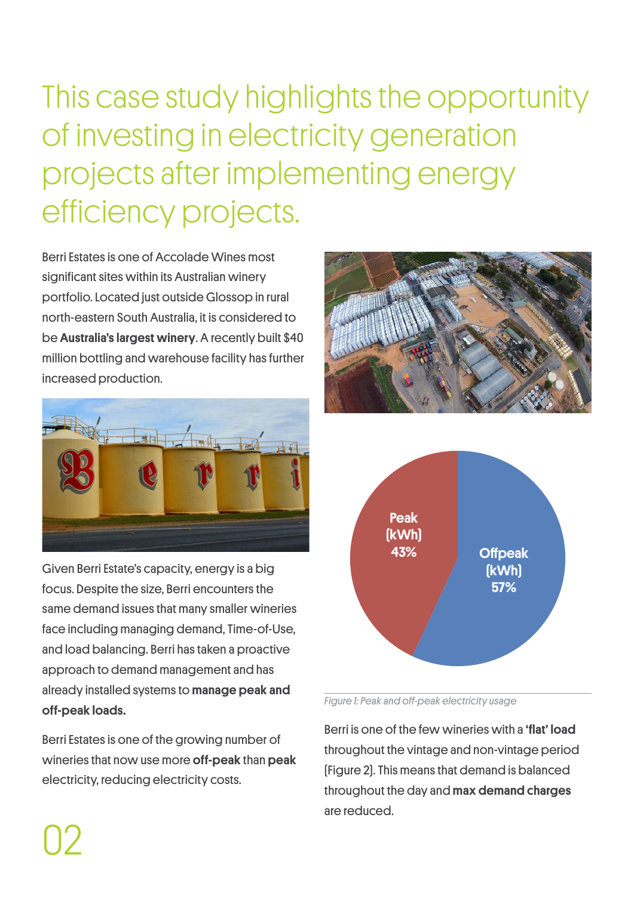This case study highlights the opportunity of investing in electricity generation projects after implementing energy efficiency projects.

Berri Estates is one of Accolade Wines most significant sites within its Australian winery portfolio. Located just outside Glossop in rural north-eastern South Australia, it is considered to be Australia's largest winery. A recently built \$40 million bottling and warehouse facility has further increased production.



Given Berri Estate's capacity, energy is a big focus. Despite the size, Berri encounters the same demand issues that many smaller wineries face including managing demand, Time-of-Use, and load balancing. Berri has taken a proactive approach to demand management and has already installed systems to manage peak and off-peak loads.

Berri Estates is one of the growing number of wineries that now use more **off-peak** than **peak** electricity, reducing electricity costs.

02





*Figure 1: Peak and off-peak electricity usage*

Berri is one of the few wineries with a 'flat' load throughout the vintage and non-vintage period (Figure 2). This means that demand is balanced throughout the day and max demand charges are reduced.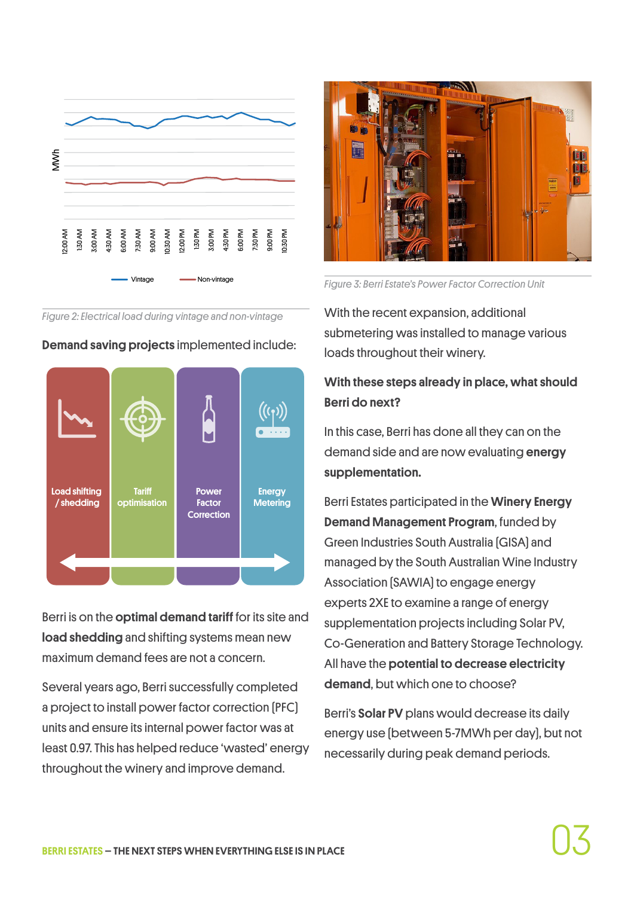

*Figure 2: Electrical load during vintage and non-vintage*



Demand saving projects implemented include:

Berri is on the **optimal demand tariff** for its site and load shedding and shifting systems mean new maximum demand fees are not a concern.

Several years ago, Berri successfully completed a project to install power factor correction (PFC) units and ensure its internal power factor was at least 0.97. This has helped reduce 'wasted' energy throughout the winery and improve demand.



*Figure 3: Berri Estate's Power Factor Correction Unit*

With the recent expansion, additional submetering was installed to manage various loads throughout their winery.

### With these steps already in place, what should Berri do next?

In this case, Berri has done all they can on the demand side and are now evaluating energy supplementation.

Berri Estates participated in the Winery Energy Demand Management Program, funded by Green Industries South Australia (GISA) and managed by the South Australian Wine Industry Association (SAWIA) to engage energy experts 2XE to examine a range of energy supplementation projects including Solar PV, Co-Generation and Battery Storage Technology. All have the **potential to decrease electricity** demand, but which one to choose?

Berri's Solar PV plans would decrease its daily energy use (between 5-7MWh per day), but not necessarily during peak demand periods.